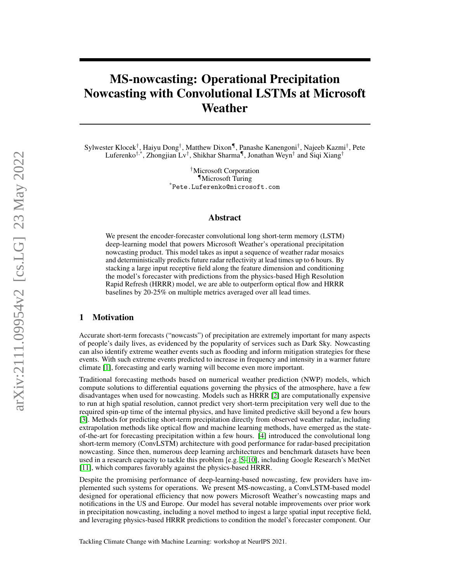# MS-nowcasting: Operational Precipitation Nowcasting with Convolutional LSTMs at Microsoft Weather

Sylwester Klocek† , Haiyu Dong† , Matthew Dixon¶, Panashe Kanengoni† , Najeeb Kazmi† , Pete Luferenko<sup>†,\*</sup>, Zhongjian Lv<sup>†</sup>, Shikhar Sharma<sup>¶</sup>, Jonathan Weyn<sup>†</sup> and Siqi Xiang<sup>†</sup>

> †Microsoft Corporation ¶Microsoft Turing \*Pete.Luferenko@microsoft.com

## Abstract

We present the encoder-forecaster convolutional long short-term memory (LSTM) deep-learning model that powers Microsoft Weather's operational precipitation nowcasting product. This model takes as input a sequence of weather radar mosaics and deterministically predicts future radar reflectivity at lead times up to 6 hours. By stacking a large input receptive field along the feature dimension and conditioning the model's forecaster with predictions from the physics-based High Resolution Rapid Refresh (HRRR) model, we are able to outperform optical flow and HRRR baselines by 20-25% on multiple metrics averaged over all lead times.

#### 1 Motivation

Accurate short-term forecasts ("nowcasts") of precipitation are extremely important for many aspects of people's daily lives, as evidenced by the popularity of services such as Dark Sky. Nowcasting can also identify extreme weather events such as flooding and inform mitigation strategies for these events. With such extreme events predicted to increase in frequency and intensity in a warmer future climate [\[1\]](#page-4-0), forecasting and early warning will become even more important.

Traditional forecasting methods based on numerical weather prediction (NWP) models, which compute solutions to differential equations governing the physics of the atmosphere, have a few disadvantages when used for nowcasting. Models such as HRRR [\[2\]](#page-4-1) are computationally expensive to run at high spatial resolution, cannot predict very short-term precipitation very well due to the required spin-up time of the internal physics, and have limited predictive skill beyond a few hours [\[3\]](#page-4-2). Methods for predicting short-term precipitation directly from observed weather radar, including extrapolation methods like optical flow and machine learning methods, have emerged as the stateof-the-art for forecasting precipitation within a few hours. [\[4\]](#page-4-3) introduced the convolutional long short-term memory (ConvLSTM) architecture with good performance for radar-based precipitation nowcasting. Since then, numerous deep learning architectures and benchmark datasets have been used in a research capacity to tackle this problem [e.g. [5](#page-4-4)[–10\]](#page-4-5), including Google Research's MetNet [\[11\]](#page-4-6), which compares favorably against the physics-based HRRR.

Despite the promising performance of deep-learning-based nowcasting, few providers have implemented such systems for operations. We present MS-nowcasting, a ConvLSTM-based model designed for operational efficiency that now powers Microsoft Weather's nowcasting maps and notifications in the US and Europe. Our model has several notable improvements over prior work in precipitation nowcasting, including a novel method to ingest a large spatial input receptive field, and leveraging physics-based HRRR predictions to condition the model's forecaster component. Our

Tackling Climate Change with Machine Learning: workshop at NeurIPS 2021.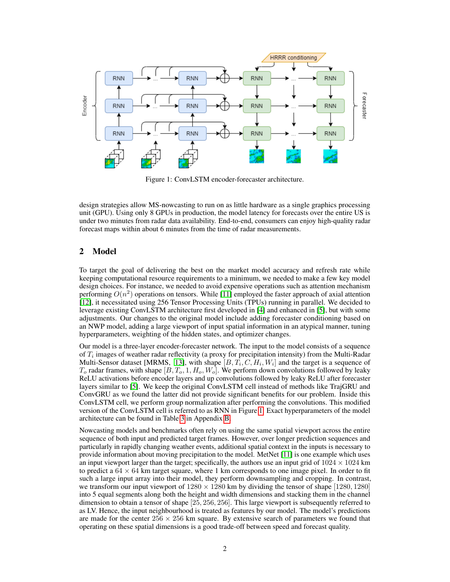

<span id="page-1-0"></span>Figure 1: ConvLSTM encoder-forecaster architecture.

design strategies allow MS-nowcasting to run on as little hardware as a single graphics processing unit (GPU). Using only 8 GPUs in production, the model latency for forecasts over the entire US is under two minutes from radar data availability. End-to-end, consumers can enjoy high-quality radar forecast maps within about 6 minutes from the time of radar measurements.

## 2 Model

To target the goal of delivering the best on the market model accuracy and refresh rate while keeping computational resource requirements to a minimum, we needed to make a few key model design choices. For instance, we needed to avoid expensive operations such as attention mechanism performing  $O(n^2)$  operations on tensors. While [\[11\]](#page-4-6) employed the faster approach of axial attention [\[12\]](#page-4-7), it necessitated using 256 Tensor Processing Units (TPUs) running in parallel. We decided to leverage existing ConvLSTM architecture first developed in [\[4\]](#page-4-3) and enhanced in [\[5\]](#page-4-4), but with some adjustments. Our changes to the original model include adding forecaster conditioning based on an NWP model, adding a large viewport of input spatial information in an atypical manner, tuning hyperparameters, weighting of the hidden states, and optimizer changes.

Our model is a three-layer encoder-forecaster network. The input to the model consists of a sequence of  $T_i$  images of weather radar reflectivity (a proxy for precipitation intensity) from the Multi-Radar Multi-Sensor dataset [MRMS, [13\]](#page-4-8), with shape  $[B, T_i, C, H_i, W_i]$  and the target is a sequence of  $T_o$  radar frames, with shape  $[B, T_o, 1, H_o, W_o]$ . We perform down convolutions followed by leaky ReLU activations before encoder layers and up convolutions followed by leaky ReLU after forecaster layers similar to [\[5\]](#page-4-4). We keep the original ConvLSTM cell instead of methods like TrajGRU and ConvGRU as we found the latter did not provide significant benefits for our problem. Inside this ConvLSTM cell, we perform group normalization after performing the convolutions. This modified version of the ConvLSTM cell is referred to as RNN in Figure [1.](#page-1-0) Exact hyperparameters of the model architecture can be found in Table [3](#page-7-0) in Appendix [B.](#page-7-1)

Nowcasting models and benchmarks often rely on using the same spatial viewport across the entire sequence of both input and predicted target frames. However, over longer prediction sequences and particularly in rapidly changing weather events, additional spatial context in the inputs is necessary to provide information about moving precipitation to the model. MetNet [\[11\]](#page-4-6) is one example which uses an input viewport larger than the target; specifically, the authors use an input grid of  $1024 \times 1024$  km to predict a  $64 \times 64$  km target square, where 1 km corresponds to one image pixel. In order to fit such a large input array into their model, they perform downsampling and cropping. In contrast, we transform our input viewport of  $1280 \times 1280$  km by dividing the tensor of shape [1280, 1280] into 5 equal segments along both the height and width dimensions and stacking them in the channel dimension to obtain a tensor of shape [25, 256, 256]. This large viewport is subsequently referred to as LV. Hence, the input neighbourhood is treated as features by our model. The model's predictions are made for the center  $256 \times 256$  km square. By extensive search of parameters we found that operating on these spatial dimensions is a good trade-off between speed and forecast quality.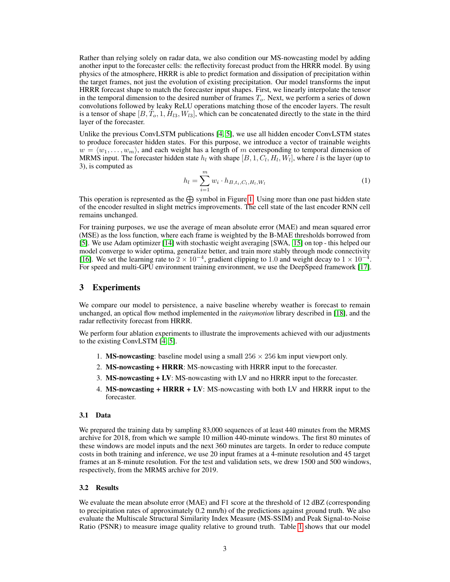Rather than relying solely on radar data, we also condition our MS-nowcasting model by adding another input to the forecaster cells: the reflectivity forecast product from the HRRR model. By using physics of the atmosphere, HRRR is able to predict formation and dissipation of precipitation within the target frames, not just the evolution of existing precipitation. Our model transforms the input HRRR forecast shape to match the forecaster input shapes. First, we linearly interpolate the tensor in the temporal dimension to the desired number of frames  $T<sub>o</sub>$ . Next, we perform a series of down convolutions followed by leaky ReLU operations matching those of the encoder layers. The result is a tensor of shape  $[B, T_0, 1, H_{l3}, W_{l3}]$ , which can be concatenated directly to the state in the third layer of the forecaster.

Unlike the previous ConvLSTM publications [\[4,](#page-4-3) [5\]](#page-4-4), we use all hidden encoder ConvLSTM states to produce forecaster hidden states. For this purpose, we introduce a vector of trainable weights  $w = \langle w_1, \ldots, w_m \rangle$ , and each weight has a length of m corresponding to temporal dimension of MRMS input. The forecaster hidden state  $h_l$  with shape  $[B, 1, C_l, H_l, W_l]$ , where l is the layer (up to 3), is computed as

$$
h_l = \sum_{i=1}^{m} w_i \cdot h_{B,t_i,C_l,H_l,W_l}
$$
 (1)

This operation is represented as the  $\bigoplus$  symbol in Figure [1.](#page-1-0) Using more than one past hidden state of the encoder resulted in slight metrics improvements. The cell state of the last encoder RNN cell remains unchanged.

For training purposes, we use the average of mean absolute error (MAE) and mean squared error (MSE) as the loss function, where each frame is weighted by the B-MAE thresholds borrowed from [\[5\]](#page-4-4). We use Adam optimizer [\[14\]](#page-4-9) with stochastic weight averaging [SWA, [15\]](#page-5-0) on top - this helped our model converge to wider optima, generalize better, and train more stably through mode connectivity [\[16\]](#page-5-1). We set the learning rate to  $2 \times 10^{-4}$ , gradient clipping to 1.0 and weight decay to  $1 \times 10^{-4}$ . For speed and multi-GPU environment training environment, we use the DeepSpeed framework [\[17\]](#page-5-2).

#### 3 Experiments

We compare our model to persistence, a naive baseline whereby weather is forecast to remain unchanged, an optical flow method implemented in the *rainymotion* library described in [\[18\]](#page-5-3), and the radar reflectivity forecast from HRRR.

We perform four ablation experiments to illustrate the improvements achieved with our adjustments to the existing ConvLSTM [\[4,](#page-4-3) [5\]](#page-4-4).

- 1. **MS-nowcasting**: baseline model using a small  $256 \times 256$  km input viewport only.
- 2. MS-nowcasting + HRRR: MS-nowcasting with HRRR input to the forecaster.
- 3. MS-nowcasting + LV: MS-nowcasting with LV and no HRRR input to the forecaster.
- 4. MS-nowcasting + HRRR + LV: MS-nowcasting with both LV and HRRR input to the forecaster.

#### 3.1 Data

We prepared the training data by sampling 83,000 sequences of at least 440 minutes from the MRMS archive for 2018, from which we sample 10 million 440-minute windows. The first 80 minutes of these windows are model inputs and the next 360 minutes are targets. In order to reduce compute costs in both training and inference, we use 20 input frames at a 4-minute resolution and 45 target frames at an 8-minute resolution. For the test and validation sets, we drew 1500 and 500 windows, respectively, from the MRMS archive for 2019.

#### 3.2 Results

We evaluate the mean absolute error (MAE) and F1 score at the threshold of 12 dBZ (corresponding to precipitation rates of approximately 0.2 mm/h) of the predictions against ground truth. We also evaluate the Multiscale Structural Similarity Index Measure (MS-SSIM) and Peak Signal-to-Noise Ratio (PSNR) to measure image quality relative to ground truth. Table [1](#page-3-0) shows that our model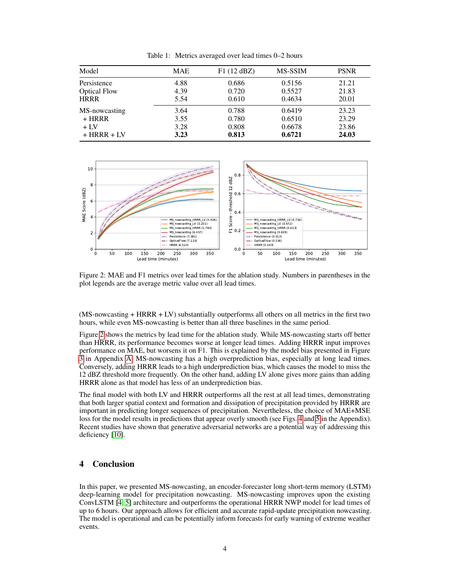| Model               | <b>MAE</b> | F1(12 dBZ) | MS-SSIM | <b>PSNR</b> |
|---------------------|------------|------------|---------|-------------|
| Persistence         | 4.88       | 0.686      | 0.5156  | 21.21       |
| <b>Optical Flow</b> | 4.39       | 0.720      | 0.5527  | 21.83       |
| <b>HRRR</b>         | 5.54       | 0.610      | 0.4634  | 20.01       |
| MS-nowcasting       | 3.64       | 0.788      | 0.6419  | 23.23       |
| $+ HRRR$            | 3.55       | 0.780      | 0.6510  | 23.29       |
| $+1V$               | 3.28       | 0.808      | 0.6678  | 23.86       |
| $+ HRRR + LV$       | 3.23       | 0.813      | 0.6721  | 24.03       |
|                     |            |            |         |             |

<span id="page-3-0"></span>Table 1: Metrics averaged over lead times 0–2 hours



<span id="page-3-1"></span>Figure 2: MAE and F1 metrics over lead times for the ablation study. Numbers in parentheses in the plot legends are the average metric value over all lead times.

(MS-nowcasting + HRRR + LV) substantially outperforms all others on all metrics in the first two hours, while even MS-nowcasting is better than all three baselines in the same period.

Figure [2](#page-3-1) shows the metrics by lead time for the ablation study. While MS-nowcasting starts off better than HRRR, its performance becomes worse at longer lead times. Adding HRRR input improves performance on MAE, but worsens it on F1. This is explained by the model bias presented in Figure [3](#page-6-0) in Appendix [A.](#page-6-1) MS-nowcasting has a high overprediction bias, especially at long lead times. Conversely, adding HRRR leads to a high underprediction bias, which causes the model to miss the 12 dBZ threshold more frequently. On the other hand, adding LV alone gives more gains than adding HRRR alone as that model has less of an underprediction bias.

The final model with both LV and HRRR outperforms all the rest at all lead times, demonstrating that both larger spatial context and formation and dissipation of precipitation provided by HRRR are important in predicting longer sequences of precipitation. Nevertheless, the choice of MAE+MSE loss for the model results in predictions that appear overly smooth (see Figs. [4](#page-8-0) and [5](#page-9-0) in the Appendix). Recent studies have shown that generative adversarial networks are a potential way of addressing this deficiency [\[10\]](#page-4-5).

#### 4 Conclusion

In this paper, we presented MS-nowcasting, an encoder-forecaster long short-term memory (LSTM) deep-learning model for precipitation nowcasting. MS-nowcasting improves upon the existing ConvLSTM [\[4,](#page-4-3) [5\]](#page-4-4) architecture and outperforms the operational HRRR NWP model for lead times of up to 6 hours. Our approach allows for efficient and accurate rapid-update precipitation nowcasting. The model is operational and can be potentially inform forecasts for early warning of extreme weather events.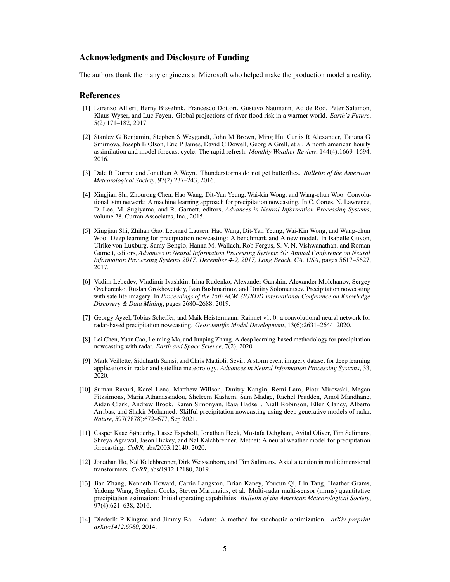#### Acknowledgments and Disclosure of Funding

The authors thank the many engineers at Microsoft who helped make the production model a reality.

#### References

- <span id="page-4-0"></span>[1] Lorenzo Alfieri, Berny Bisselink, Francesco Dottori, Gustavo Naumann, Ad de Roo, Peter Salamon, Klaus Wyser, and Luc Feyen. Global projections of river flood risk in a warmer world. *Earth's Future*, 5(2):171–182, 2017.
- <span id="page-4-1"></span>[2] Stanley G Benjamin, Stephen S Weygandt, John M Brown, Ming Hu, Curtis R Alexander, Tatiana G Smirnova, Joseph B Olson, Eric P James, David C Dowell, Georg A Grell, et al. A north american hourly assimilation and model forecast cycle: The rapid refresh. *Monthly Weather Review*, 144(4):1669–1694, 2016.
- <span id="page-4-2"></span>[3] Dale R Durran and Jonathan A Weyn. Thunderstorms do not get butterflies. *Bulletin of the American Meteorological Society*, 97(2):237–243, 2016.
- <span id="page-4-3"></span>[4] Xingjian Shi, Zhourong Chen, Hao Wang, Dit-Yan Yeung, Wai-kin Wong, and Wang-chun Woo. Convolutional lstm network: A machine learning approach for precipitation nowcasting. In C. Cortes, N. Lawrence, D. Lee, M. Sugiyama, and R. Garnett, editors, *Advances in Neural Information Processing Systems*, volume 28. Curran Associates, Inc., 2015.
- <span id="page-4-4"></span>[5] Xingjian Shi, Zhihan Gao, Leonard Lausen, Hao Wang, Dit-Yan Yeung, Wai-Kin Wong, and Wang-chun Woo. Deep learning for precipitation nowcasting: A benchmark and A new model. In Isabelle Guyon, Ulrike von Luxburg, Samy Bengio, Hanna M. Wallach, Rob Fergus, S. V. N. Vishwanathan, and Roman Garnett, editors, *Advances in Neural Information Processing Systems 30: Annual Conference on Neural Information Processing Systems 2017, December 4-9, 2017, Long Beach, CA, USA*, pages 5617–5627, 2017.
- [6] Vadim Lebedev, Vladimir Ivashkin, Irina Rudenko, Alexander Ganshin, Alexander Molchanov, Sergey Ovcharenko, Ruslan Grokhovetskiy, Ivan Bushmarinov, and Dmitry Solomentsev. Precipitation nowcasting with satellite imagery. In *Proceedings of the 25th ACM SIGKDD International Conference on Knowledge Discovery & Data Mining*, pages 2680–2688, 2019.
- [7] Georgy Ayzel, Tobias Scheffer, and Maik Heistermann. Rainnet v1. 0: a convolutional neural network for radar-based precipitation nowcasting. *Geoscientific Model Development*, 13(6):2631–2644, 2020.
- [8] Lei Chen, Yuan Cao, Leiming Ma, and Junping Zhang. A deep learning-based methodology for precipitation nowcasting with radar. *Earth and Space Science*, 7(2), 2020.
- [9] Mark Veillette, Siddharth Samsi, and Chris Mattioli. Sevir: A storm event imagery dataset for deep learning applications in radar and satellite meteorology. *Advances in Neural Information Processing Systems*, 33, 2020.
- <span id="page-4-5"></span>[10] Suman Ravuri, Karel Lenc, Matthew Willson, Dmitry Kangin, Remi Lam, Piotr Mirowski, Megan Fitzsimons, Maria Athanassiadou, Sheleem Kashem, Sam Madge, Rachel Prudden, Amol Mandhane, Aidan Clark, Andrew Brock, Karen Simonyan, Raia Hadsell, Niall Robinson, Ellen Clancy, Alberto Arribas, and Shakir Mohamed. Skilful precipitation nowcasting using deep generative models of radar. *Nature*, 597(7878):672–677, Sep 2021.
- <span id="page-4-6"></span>[11] Casper Kaae Sønderby, Lasse Espeholt, Jonathan Heek, Mostafa Dehghani, Avital Oliver, Tim Salimans, Shreya Agrawal, Jason Hickey, and Nal Kalchbrenner. Metnet: A neural weather model for precipitation forecasting. *CoRR*, abs/2003.12140, 2020.
- <span id="page-4-7"></span>[12] Jonathan Ho, Nal Kalchbrenner, Dirk Weissenborn, and Tim Salimans. Axial attention in multidimensional transformers. *CoRR*, abs/1912.12180, 2019.
- <span id="page-4-8"></span>[13] Jian Zhang, Kenneth Howard, Carrie Langston, Brian Kaney, Youcun Qi, Lin Tang, Heather Grams, Yadong Wang, Stephen Cocks, Steven Martinaitis, et al. Multi-radar multi-sensor (mrms) quantitative precipitation estimation: Initial operating capabilities. *Bulletin of the American Meteorological Society*, 97(4):621–638, 2016.
- <span id="page-4-9"></span>[14] Diederik P Kingma and Jimmy Ba. Adam: A method for stochastic optimization. *arXiv preprint arXiv:1412.6980*, 2014.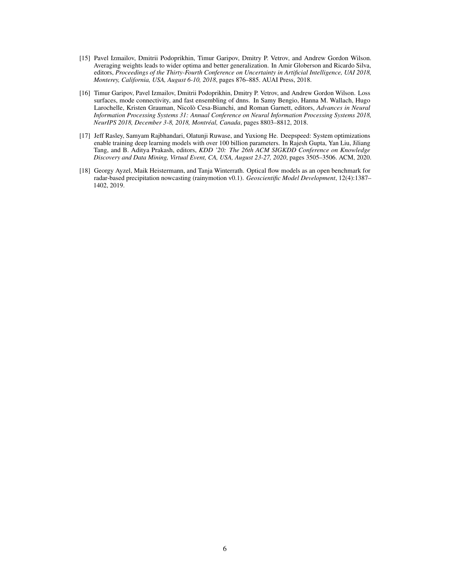- <span id="page-5-0"></span>[15] Pavel Izmailov, Dmitrii Podoprikhin, Timur Garipov, Dmitry P. Vetrov, and Andrew Gordon Wilson. Averaging weights leads to wider optima and better generalization. In Amir Globerson and Ricardo Silva, editors, *Proceedings of the Thirty-Fourth Conference on Uncertainty in Artificial Intelligence, UAI 2018, Monterey, California, USA, August 6-10, 2018*, pages 876–885. AUAI Press, 2018.
- <span id="page-5-1"></span>[16] Timur Garipov, Pavel Izmailov, Dmitrii Podoprikhin, Dmitry P. Vetrov, and Andrew Gordon Wilson. Loss surfaces, mode connectivity, and fast ensembling of dnns. In Samy Bengio, Hanna M. Wallach, Hugo Larochelle, Kristen Grauman, Nicolò Cesa-Bianchi, and Roman Garnett, editors, *Advances in Neural Information Processing Systems 31: Annual Conference on Neural Information Processing Systems 2018, NeurIPS 2018, December 3-8, 2018, Montréal, Canada*, pages 8803–8812, 2018.
- <span id="page-5-2"></span>[17] Jeff Rasley, Samyam Rajbhandari, Olatunji Ruwase, and Yuxiong He. Deepspeed: System optimizations enable training deep learning models with over 100 billion parameters. In Rajesh Gupta, Yan Liu, Jiliang Tang, and B. Aditya Prakash, editors, *KDD '20: The 26th ACM SIGKDD Conference on Knowledge Discovery and Data Mining, Virtual Event, CA, USA, August 23-27, 2020*, pages 3505–3506. ACM, 2020.
- <span id="page-5-3"></span>[18] Georgy Ayzel, Maik Heistermann, and Tanja Winterrath. Optical flow models as an open benchmark for radar-based precipitation nowcasting (rainymotion v0.1). *Geoscientific Model Development*, 12(4):1387– 1402, 2019.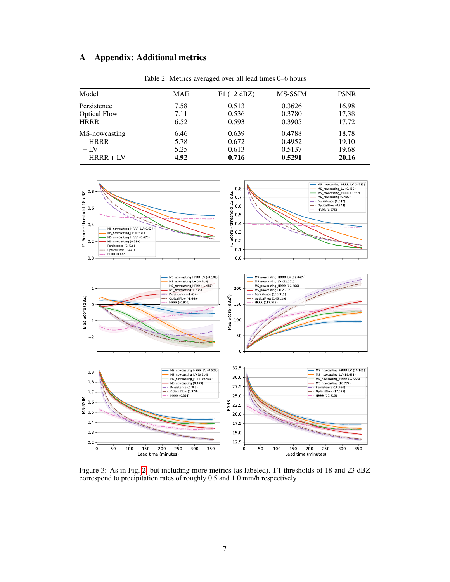# <span id="page-6-1"></span>A Appendix: Additional metrics

| Model               | <b>MAE</b> | F1(12 dBZ) | MS-SSIM | <b>PSNR</b> |  |
|---------------------|------------|------------|---------|-------------|--|
| Persistence         | 7.58       | 0.513      | 0.3626  | 16.98       |  |
| <b>Optical Flow</b> | 7.11       | 0.536      | 0.3780  | 17,38       |  |
| <b>HRRR</b>         | 6.52       | 0.593      | 0.3905  | 17.72       |  |
| MS-nowcasting       | 6.46       | 0.639      | 0.4788  | 18.78       |  |
| $+ HRRR$            | 5.78       | 0.672      | 0.4952  | 19.10       |  |
| $+1x$               | 5.25       | 0.613      | 0.5137  | 19.68       |  |
| $+ HRRR + LV$       | 4.92       | 0.716      | 0.5291  | 20.16       |  |

Table 2: Metrics averaged over all lead times 0–6 hours



<span id="page-6-0"></span>Figure 3: As in Fig. [2,](#page-3-1) but including more metrics (as labeled). F1 thresholds of 18 and 23 dBZ correspond to precipitation rates of roughly 0.5 and 1.0 mm/h respectively.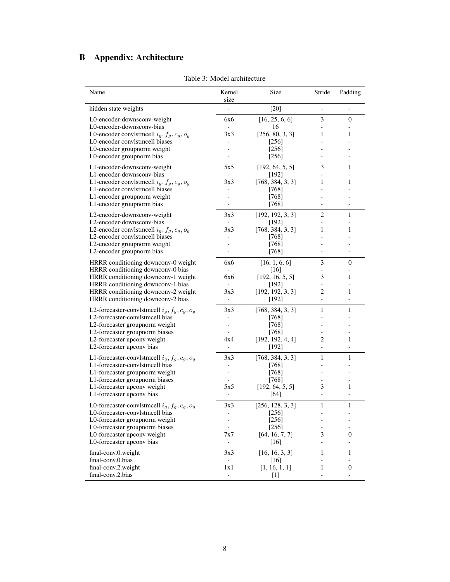# <span id="page-7-1"></span>B Appendix: Architecture

| Name                                                                                | Kernel<br>size                  | Size                        | Stride                        | Padding                  |
|-------------------------------------------------------------------------------------|---------------------------------|-----------------------------|-------------------------------|--------------------------|
| hidden state weights                                                                |                                 | $[20]$                      | $\overline{\phantom{0}}$      | $\overline{\phantom{0}}$ |
| L0-encoder-downsconv-weight<br>L0-encoder-downsconv-bias                            | 6x6                             | [16, 25, 6, 6]<br>16        | 3                             | $\boldsymbol{0}$         |
| L0-encoder convistmeell $i_g, f_g, c_g, o_g$                                        | 3x3                             | [256, 80, 3, 3]             | 1                             | 1                        |
| L0-encoder convlstmcell biases<br>L0-encoder groupnorm weight                       |                                 | $[256]$<br>$[256]$          |                               |                          |
| L0-encoder groupnorm bias                                                           |                                 | [256]                       |                               |                          |
| L1-encoder-downsconv-weight<br>L1-encoder-downsconv-bias                            | 5x5<br>$\overline{\phantom{a}}$ | [192, 64, 5, 5]<br>$[192]$  | 3                             | 1                        |
| L1-encoder convistmedl $i_g, f_g, c_g, o_g$                                         | 3x3                             | [768, 384, 3, 3]            | 1                             | 1                        |
| L1-encoder convlstmcell biases                                                      |                                 | [768]                       |                               |                          |
| L1-encoder groupnorm weight<br>L1-encoder groupnorm bias                            |                                 | [768]<br>[768]              |                               |                          |
| L2-encoder-downsconv-weight                                                         | 3x3                             | [192, 192, 3, 3]            | 2                             | 1                        |
| L2-encoder-downsconv-bias                                                           | $\overline{\phantom{a}}$        | $[192]$<br>[768, 384, 3, 3] | Ξ.<br>1                       | 1                        |
| L2-encoder convistmently $i_g, f_g, c_g, o_g$<br>L2-encoder convlstmcell biases     | 3x3                             | $[768]$                     |                               |                          |
| L2-encoder groupnorm weight                                                         |                                 | [768]                       |                               |                          |
| L2-encoder groupnorm bias                                                           | $\qquad \qquad \blacksquare$    | [768]                       | $\overline{\phantom{a}}$      | $\overline{\phantom{0}}$ |
| HRRR conditioning downconv-0 weight                                                 | 6x6                             | [16, 1, 6, 6]               | 3                             | 0                        |
| HRRR conditioning downconv-0 bias<br>HRRR conditioning downconv-1 weight            | 6x6                             | [16]<br>[192, 16, 5, 5]     | 3                             | 1                        |
| HRRR conditioning downconv-1 bias                                                   |                                 | $[192]$                     |                               |                          |
| HRRR conditioning downconv-2 weight                                                 | 3x3                             | [192, 192, 3, 3]            | 2                             | 1                        |
| HRRR conditioning downconv-2 bias                                                   | $\overline{\phantom{a}}$        | $[192]$                     | $\overline{\phantom{0}}$      |                          |
| L2-forecaster-convistmently $i_g, f_g, c_g, o_g$<br>L2-forecaster-convlstmcell bias | 3x3                             | [768, 384, 3, 3]<br>[768]   | 1                             | 1                        |
| L2-forecaster groupnorm weight                                                      | $\frac{1}{2}$<br>$\overline{a}$ | $[768]$                     | $\overline{a}$                |                          |
| L2-forecaster groupnorm biases                                                      |                                 | [768]                       |                               |                          |
| L2-forecaster upconv weight                                                         | 4x4                             | [192, 192, 4, 4]            | 2                             | 1                        |
| L2-forecaster upconv bias                                                           | $\blacksquare$                  | [192]                       | $\overline{\phantom{0}}$      | $\overline{\phantom{a}}$ |
| L1-forecaster-convistmently $i_g, f_g, c_g, o_g$<br>L1-forecaster-convistmeell bias | 3x3<br>$\frac{1}{2}$            | [768, 384, 3, 3]<br>$[768]$ | 1                             | 1                        |
| L1-forecaster groupnorm weight                                                      | $\overline{\phantom{0}}$        | [768]                       |                               |                          |
| L1-forecaster groupnorm biases                                                      | $\overline{a}$                  | [768]                       | $\overline{\phantom{0}}$      |                          |
| L1-forecaster upconv weight                                                         | 5x5                             | [192, 64, 5, 5]             | 3                             | 1                        |
| L1-forecaster upconv bias                                                           |                                 | [64]                        | $\overline{\phantom{0}}$      |                          |
| L0-forecaster-convistmently $i_g, f_g, c_g, o_g$<br>L0-forecaster-convlstmcell bias | 3x3<br>$\overline{\phantom{a}}$ | [256, 128, 3, 3]<br>[256]   | 1<br>$\overline{\phantom{0}}$ | 1                        |
| L0-forecaster groupnorm weight                                                      |                                 | [256]                       |                               |                          |
| L0-forecaster groupnorm biases                                                      |                                 | [256]                       | $\overline{a}$                |                          |
| L0-forecaster upconv weight                                                         | 7x7                             | [64, 16, 7, 7]              | 3                             | 0                        |
| L0-forecaster upconv bias                                                           | -                               | $[16]$                      | $\overline{\phantom{0}}$      |                          |
| final-conv.0.weight<br>final-conv.0.bias                                            | 3x3<br>$\overline{\phantom{a}}$ | [16, 16, 3, 3]<br>$[16]$    | 1<br>-                        | 1                        |
| final-conv.2.weight                                                                 | 1x1                             | [1, 16, 1, 1]               | 1                             | $\boldsymbol{0}$         |
| final-conv.2.bias                                                                   | $\qquad \qquad -$               | $[1]$                       | $\overline{\phantom{0}}$      | $\overline{\phantom{0}}$ |

<span id="page-7-0"></span>Table 3: Model architecture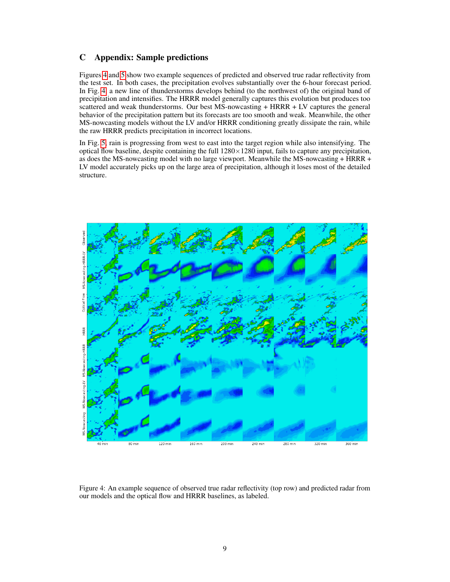# C Appendix: Sample predictions

Figures [4](#page-8-0) and [5](#page-9-0) show two example sequences of predicted and observed true radar reflectivity from the test set. In both cases, the precipitation evolves substantially over the 6-hour forecast period. In Fig. [4,](#page-8-0) a new line of thunderstorms develops behind (to the northwest of) the original band of precipitation and intensifies. The HRRR model generally captures this evolution but produces too scattered and weak thunderstorms. Our best MS-nowcasting + HRRR + LV captures the general behavior of the precipitation pattern but its forecasts are too smooth and weak. Meanwhile, the other MS-nowcasting models without the LV and/or HRRR conditioning greatly dissipate the rain, while the raw HRRR predicts precipitation in incorrect locations.

In Fig. [5,](#page-9-0) rain is progressing from west to east into the target region while also intensifying. The optical flow baseline, despite containing the full  $1280 \times 1280$  input, fails to capture any precipitation, as does the MS-nowcasting model with no large viewport. Meanwhile the MS-nowcasting + HRRR + LV model accurately picks up on the large area of precipitation, although it loses most of the detailed structure.



<span id="page-8-0"></span>Figure 4: An example sequence of observed true radar reflectivity (top row) and predicted radar from our models and the optical flow and HRRR baselines, as labeled.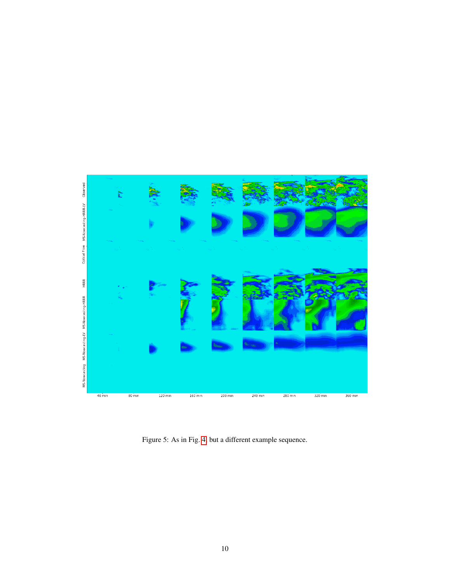<span id="page-9-0"></span>

Figure 5: As in Fig. [4,](#page-8-0) but a different example sequence.